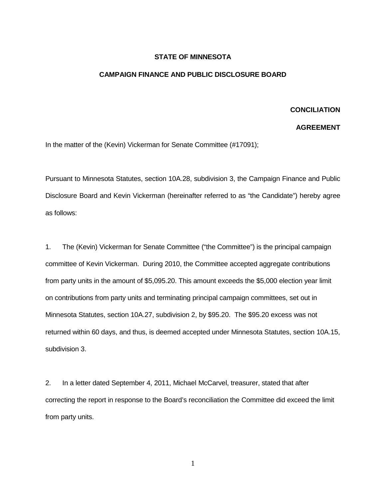## **STATE OF MINNESOTA**

## **CAMPAIGN FINANCE AND PUBLIC DISCLOSURE BOARD**

## **CONCILIATION**

## **AGREEMENT**

In the matter of the (Kevin) Vickerman for Senate Committee (#17091);

Pursuant to Minnesota Statutes, section 10A.28, subdivision 3, the Campaign Finance and Public Disclosure Board and Kevin Vickerman (hereinafter referred to as "the Candidate") hereby agree as follows:

1. The (Kevin) Vickerman for Senate Committee ("the Committee") is the principal campaign committee of Kevin Vickerman. During 2010, the Committee accepted aggregate contributions from party units in the amount of \$5,095.20. This amount exceeds the \$5,000 election year limit on contributions from party units and terminating principal campaign committees, set out in Minnesota Statutes, section 10A.27, subdivision 2, by \$95.20. The \$95.20 excess was not returned within 60 days, and thus, is deemed accepted under Minnesota Statutes, section 10A.15, subdivision 3.

2. In a letter dated September 4, 2011, Michael McCarvel, treasurer, stated that after correcting the report in response to the Board's reconciliation the Committee did exceed the limit from party units.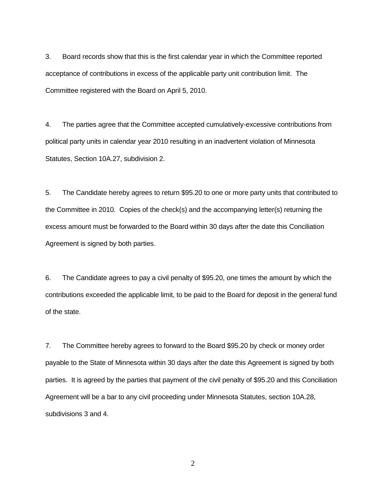3. Board records show that this is the first calendar year in which the Committee reported acceptance of contributions in excess of the applicable party unit contribution limit. The Committee registered with the Board on April 5, 2010.

4. The parties agree that the Committee accepted cumulatively-excessive contributions from political party units in calendar year 2010 resulting in an inadvertent violation of Minnesota Statutes, Section 10A.27, subdivision 2.

5. The Candidate hereby agrees to return \$95.20 to one or more party units that contributed to the Committee in 2010. Copies of the check(s) and the accompanying letter(s) returning the excess amount must be forwarded to the Board within 30 days after the date this Conciliation Agreement is signed by both parties.

6. The Candidate agrees to pay a civil penalty of \$95.20, one times the amount by which the contributions exceeded the applicable limit, to be paid to the Board for deposit in the general fund of the state.

7. The Committee hereby agrees to forward to the Board \$95.20 by check or money order payable to the State of Minnesota within 30 days after the date this Agreement is signed by both parties. It is agreed by the parties that payment of the civil penalty of \$95.20 and this Conciliation Agreement will be a bar to any civil proceeding under Minnesota Statutes, section 10A.28, subdivisions 3 and 4.

2